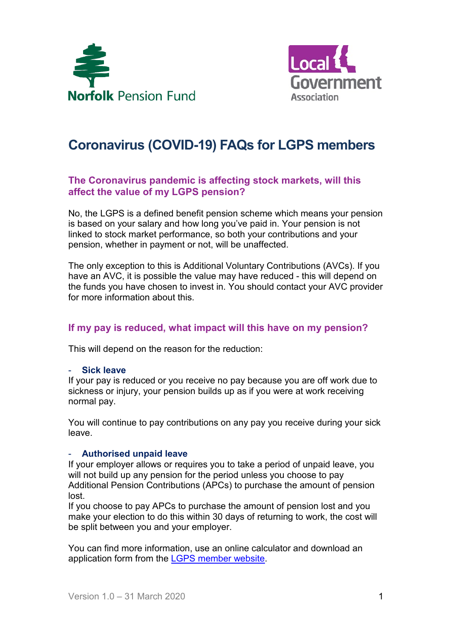



# **Coronavirus (COVID-19) FAQs for LGPS members**

# **The Coronavirus pandemic is affecting stock markets, will this affect the value of my LGPS pension?**

No, the LGPS is a defined benefit pension scheme which means your pension is based on your salary and how long you've paid in. Your pension is not linked to stock market performance, so both your contributions and your pension, whether in payment or not, will be unaffected.

The only exception to this is Additional Voluntary Contributions (AVCs). If you have an AVC, it is possible the value may have reduced - this will depend on the funds you have chosen to invest in. You should contact your AVC provider for more information about this.

## **If my pay is reduced, what impact will this have on my pension?**

This will depend on the reason for the reduction:

#### - **Sick leave**

If your pay is reduced or you receive no pay because you are off work due to sickness or injury, your pension builds up as if you were at work receiving normal pay.

You will continue to pay contributions on any pay you receive during your sick leave.

#### - **Authorised unpaid leave**

If your employer allows or requires you to take a period of unpaid leave, you will not build up any pension for the period unless you choose to pay Additional Pension Contributions (APCs) to purchase the amount of pension lost.

If you choose to pay APCs to purchase the amount of pension lost and you make your election to do this within 30 days of returning to work, the cost will be split between you and your employer.

You can find more information, use an online calculator and download an application form from the [LGPS member website.](https://www.lgpsmember.org/more/apc/index.php)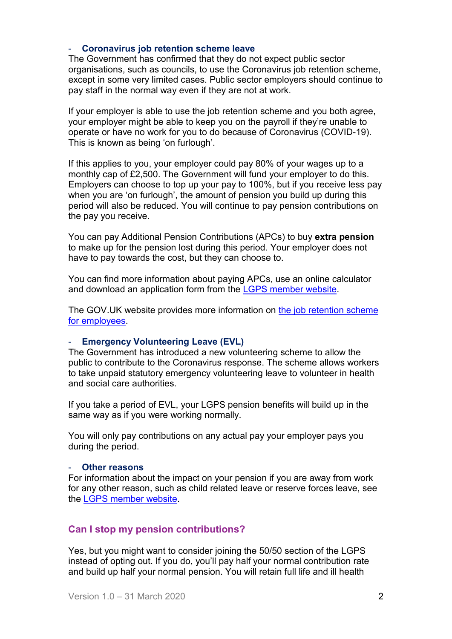### - **Coronavirus job retention scheme leave**

The Government has confirmed that they do not expect public sector organisations, such as councils, to use the Coronavirus job retention scheme, except in some very limited cases. Public sector employers should continue to pay staff in the normal way even if they are not at work.

If your employer is able to use the job retention scheme and you both agree, your employer might be able to keep you on the payroll if they're unable to operate or have no work for you to do because of Coronavirus (COVID-19). This is known as being 'on furlough'.

If this applies to you, your employer could pay 80% of your wages up to a monthly cap of £2,500. The Government will fund your employer to do this. Employers can choose to top up your pay to 100%, but if you receive less pay when you are 'on furlough', the amount of pension you build up during this period will also be reduced. You will continue to pay pension contributions on the pay you receive.

You can pay Additional Pension Contributions (APCs) to buy **extra pension** to make up for the pension lost during this period. Your employer does not have to pay towards the cost, but they can choose to.

You can find more information about paying APCs, use an online calculator and download an application form from the [LGPS member website.](https://www.lgpsmember.org/more/apc/index.php)

The GOV.UK website provides more information on the job retention scheme [for employees.](https://www.gov.uk/guidance/check-if-you-could-be-covered-by-the-coronavirus-job-retention-scheme)

## - **Emergency Volunteering Leave (EVL)**

The Government has introduced a new volunteering scheme to allow the public to contribute to the Coronavirus response. The scheme allows workers to take unpaid statutory emergency volunteering leave to volunteer in health and social care authorities.

If you take a period of EVL, your LGPS pension benefits will build up in the same way as if you were working normally.

You will only pay contributions on any actual pay your employer pays you during the period.

#### - **Other reasons**

For information about the impact on your pension if you are away from work for any other reason, such as child related leave or reserve forces leave, see the [LGPS member website.](https://www.lgpsmember.org/arm/already-member-absence.php)

## **Can I stop my pension contributions?**

Yes, but you might want to consider joining the 50/50 section of the LGPS instead of opting out. If you do, you'll pay half your normal contribution rate and build up half your normal pension. You will retain full life and ill health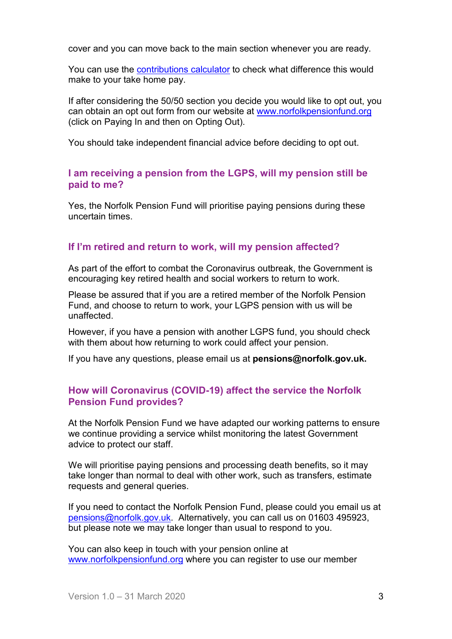cover and you can move back to the main section whenever you are ready.

You can use the **contributions calculator** to check what difference this would make to your take home pay.

If after considering the 50/50 section you decide you would like to opt out, you can obtain an opt out form from our website at [www.norfolkpensionfund.org](http://www.norfolkpensionfund.org/) (click on Paying In and then on Opting Out).

You should take independent financial advice before deciding to opt out.

## **I am receiving a pension from the LGPS, will my pension still be paid to me?**

Yes, the Norfolk Pension Fund will prioritise paying pensions during these uncertain times.

# **If I'm retired and return to work, will my pension affected?**

As part of the effort to combat the Coronavirus outbreak, the Government is encouraging key retired health and social workers to return to work.

Please be assured that if you are a retired member of the Norfolk Pension Fund, and choose to return to work, your LGPS pension with us will be unaffected.

However, if you have a pension with another LGPS fund, you should check with them about how returning to work could affect your pension.

If you have any questions, please email us at **[pensions@norfolk.gov.uk.](mailto:pensions@norfolk.gov.uk)**

# **How will Coronavirus (COVID-19) affect the service the Norfolk Pension Fund provides?**

At the Norfolk Pension Fund we have adapted our working patterns to ensure we continue providing a service whilst monitoring the latest Government advice to protect our staff.

We will prioritise paying pensions and processing death benefits, so it may take longer than normal to deal with other work, such as transfers, estimate requests and general queries.

If you need to contact the Norfolk Pension Fund, please could you email us at [pensions@norfolk.gov.uk.](mailto:pensions@norfolk.gov.uk) Alternatively, you can call us on 01603 495923, but please note we may take longer than usual to respond to you.

You can also keep in touch with your pension online at [www.norfolkpensionfund.org](http://www.norfolkpensionfund.org/) where you can register to use our member